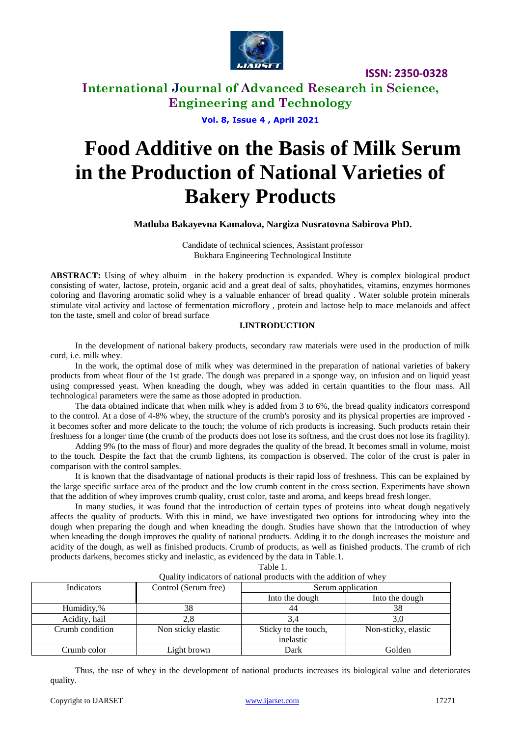

### **International Journal of Advanced Research in Science, Engineering and Technology**

**Vol. 8, Issue 4 , April 2021**

# **Food Additive on the Basis of Milk Serum in the Production of National Varieties of Bakery Products**

**Matluba Bakayevna Kamalova, Nargiza Nusratovna Sabirova PhD.**

Сandidate of technical sciences, Assistant professor Bukhara Engineering Technological Institute

**ABSTRACT:** Using of whey albuim in the bakery production is expanded. Whey is complex biological product consisting of water, lactose, protein, organic acid and a great deal of salts, phoyhatides, vitamins, enzymes hormones coloring and flavoring aromatic solid whey is a valuable enhancer of bread quality . Water soluble protein minerals stimulate vital activity and lactose of fermentation microflory , protein and lactose help to mace melanoids and affect ton the taste, smell and color of bread surface

#### **I.INTRODUCTION**

In the development of national bakery products, secondary raw materials were used in the production of milk curd, i.e. milk whey.

In the work, the optimal dose of milk whey was determined in the preparation of national varieties of bakery products from wheat flour of the 1st grade. The dough was prepared in a sponge way, on infusion and on liquid yeast using compressed yeast. When kneading the dough, whey was added in certain quantities to the flour mass. All technological parameters were the same as those adopted in production.

The data obtained indicate that when milk whey is added from 3 to 6%, the bread quality indicators correspond to the control. At a dose of 4-8% whey, the structure of the crumb's porosity and its physical properties are improved it becomes softer and more delicate to the touch; the volume of rich products is increasing. Such products retain their freshness for a longer time (the crumb of the products does not lose its softness, and the crust does not lose its fragility).

Adding 9% (to the mass of flour) and more degrades the quality of the bread. It becomes small in volume, moist to the touch. Despite the fact that the crumb lightens, its compaction is observed. The color of the crust is paler in comparison with the control samples.

It is known that the disadvantage of national products is their rapid loss of freshness. This can be explained by the large specific surface area of the product and the low crumb content in the cross section. Experiments have shown that the addition of whey improves crumb quality, crust color, taste and aroma, and keeps bread fresh longer.

In many studies, it was found that the introduction of certain types of proteins into wheat dough negatively affects the quality of products. With this in mind, we have investigated two options for introducing whey into the dough when preparing the dough and when kneading the dough. Studies have shown that the introduction of whey when kneading the dough improves the quality of national products. Adding it to the dough increases the moisture and acidity of the dough, as well as finished products. Crumb of products, as well as finished products. The crumb of rich products darkens, becomes sticky and inelastic, as evidenced by the data in Table.1.

| m<br>⊢<br>r<br>× |  |
|------------------|--|

| Quality mulcators of hational products with the addition of whey |                      |                      |                     |  |
|------------------------------------------------------------------|----------------------|----------------------|---------------------|--|
| Indicators                                                       | Control (Serum free) | Serum application    |                     |  |
|                                                                  |                      | Into the dough       | Into the dough      |  |
| Humidity,%                                                       | 38                   | 44                   | 38                  |  |
| Acidity, hail                                                    |                      | 3.4                  |                     |  |
| Crumb condition                                                  | Non sticky elastic   | Sticky to the touch, | Non-sticky, elastic |  |
|                                                                  |                      | inelastic            |                     |  |
| Crumb color                                                      | Light brown          | Dark                 | Golden              |  |

#### Quality indicators of national products with the addition of whey

Thus, the use of whey in the development of national products increases its biological value and deteriorates quality.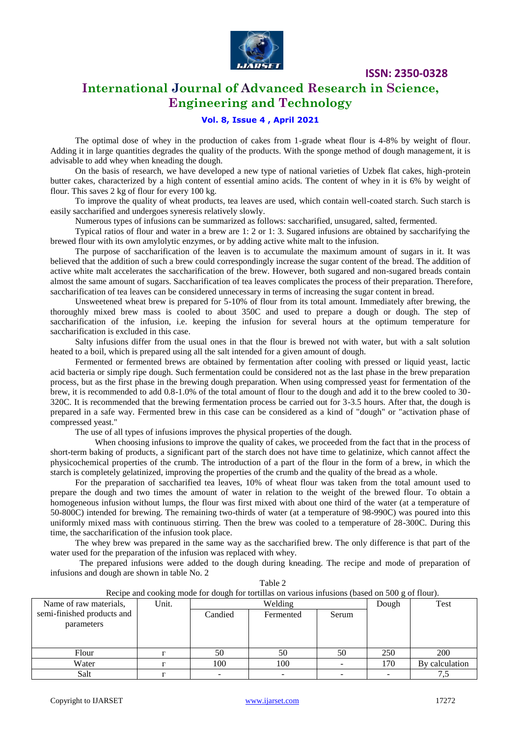

### **International Journal of Advanced Research in Science, Engineering and Technology**

### **Vol. 8, Issue 4 , April 2021**

The optimal dose of whey in the production of cakes from 1-grade wheat flour is 4-8% by weight of flour. Adding it in large quantities degrades the quality of the products. With the sponge method of dough management, it is advisable to add whey when kneading the dough.

On the basis of research, we have developed a new type of national varieties of Uzbek flat cakes, high-protein butter cakes, characterized by a high content of essential amino acids. The content of whey in it is 6% by weight of flour. This saves 2 kg of flour for every 100 kg.

To improve the quality of wheat products, tea leaves are used, which contain well-coated starch. Such starch is easily saccharified and undergoes syneresis relatively slowly.

Numerous types of infusions can be summarized as follows: saccharified, unsugared, salted, fermented.

Typical ratios of flour and water in a brew are 1: 2 or 1: 3. Sugared infusions are obtained by saccharifying the brewed flour with its own amylolytic enzymes, or by adding active white malt to the infusion.

The purpose of saccharification of the leaven is to accumulate the maximum amount of sugars in it. It was believed that the addition of such a brew could correspondingly increase the sugar content of the bread. The addition of active white malt accelerates the saccharification of the brew. However, both sugared and non-sugared breads contain almost the same amount of sugars. Saccharification of tea leaves complicates the process of their preparation. Therefore, saccharification of tea leaves can be considered unnecessary in terms of increasing the sugar content in bread.

Unsweetened wheat brew is prepared for 5-10% of flour from its total amount. Immediately after brewing, the thoroughly mixed brew mass is cooled to about 350C and used to prepare a dough or dough. The step of saccharification of the infusion, i.e. keeping the infusion for several hours at the optimum temperature for saccharification is excluded in this case.

Salty infusions differ from the usual ones in that the flour is brewed not with water, but with a salt solution heated to a boil, which is prepared using all the salt intended for a given amount of dough.

Fermented or fermented brews are obtained by fermentation after cooling with pressed or liquid yeast, lactic acid bacteria or simply ripe dough. Such fermentation could be considered not as the last phase in the brew preparation process, but as the first phase in the brewing dough preparation. When using compressed yeast for fermentation of the brew, it is recommended to add 0.8-1.0% of the total amount of flour to the dough and add it to the brew cooled to 30- 320C. It is recommended that the brewing fermentation process be carried out for 3-3.5 hours. After that, the dough is prepared in a safe way. Fermented brew in this case can be considered as a kind of "dough" or "activation phase of compressed yeast."

The use of all types of infusions improves the physical properties of the dough.

 When choosing infusions to improve the quality of cakes, we proceeded from the fact that in the process of short-term baking of products, a significant part of the starch does not have time to gelatinize, which cannot affect the physicochemical properties of the crumb. The introduction of a part of the flour in the form of a brew, in which the starch is completely gelatinized, improving the properties of the crumb and the quality of the bread as a whole.

For the preparation of saccharified tea leaves, 10% of wheat flour was taken from the total amount used to prepare the dough and two times the amount of water in relation to the weight of the brewed flour. To obtain a homogeneous infusion without lumps, the flour was first mixed with about one third of the water (at a temperature of 50-800C) intended for brewing. The remaining two-thirds of water (at a temperature of 98-990C) was poured into this uniformly mixed mass with continuous stirring. Then the brew was cooled to a temperature of 28-300C. During this time, the saccharification of the infusion took place.

The whey brew was prepared in the same way as the saccharified brew. The only difference is that part of the water used for the preparation of the infusion was replaced with whey.

 The prepared infusions were added to the dough during kneading. The recipe and mode of preparation of infusions and dough are shown in table No. 2

| Recipe and cooking mode for dough for tortillas on various infusions (based on 500 g of flour). |       |         |           |       |       |                |
|-------------------------------------------------------------------------------------------------|-------|---------|-----------|-------|-------|----------------|
| Name of raw materials,                                                                          | Unit. | Welding |           |       | Dough | Test           |
| semi-finished products and                                                                      |       | Candied | Fermented | Serum |       |                |
| parameters                                                                                      |       |         |           |       |       |                |
|                                                                                                 |       |         |           |       |       |                |
|                                                                                                 |       |         |           |       |       |                |
| Flour                                                                                           |       | 50      | 50        | 50    | 250   | 200            |
| Water                                                                                           |       | 100     | 100       |       | 170   | By calculation |
| Salt                                                                                            |       |         |           |       |       |                |

Table 2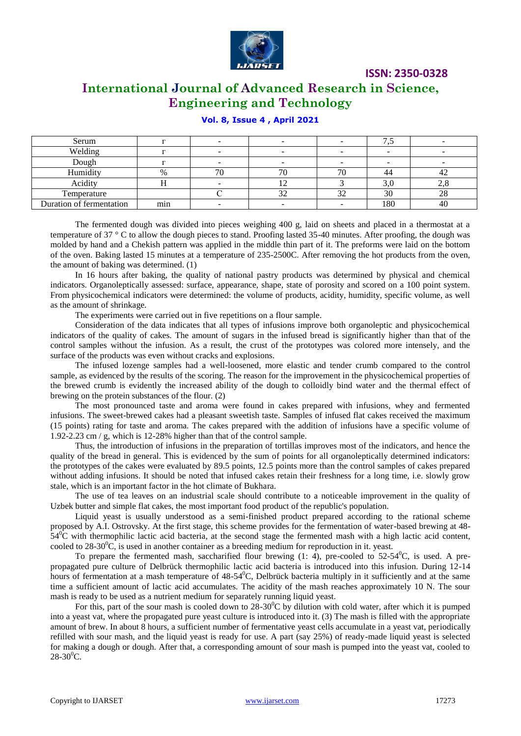

### **International Journal of Advanced Research in Science, Engineering and Technology**

### **Vol. 8, Issue 4 , April 2021**

| Serum                    |                  |    |     |    |     |    |
|--------------------------|------------------|----|-----|----|-----|----|
| Welding                  |                  |    |     |    |     |    |
| Dough                    |                  |    |     |    |     |    |
| Humidity                 | $\%$             | 71 |     |    | 44  | ∸∠ |
| Acidity                  |                  |    | . . |    | 3.U |    |
| Temperature              |                  |    | 32  | 32 | 30  | 20 |
| Duration of fermentation | $\bullet$<br>min |    |     |    | 180 | 40 |

The fermented dough was divided into pieces weighing 400 g, laid on sheets and placed in a thermostat at a temperature of 37  $\degree$  C to allow the dough pieces to stand. Proofing lasted 35-40 minutes. After proofing, the dough was molded by hand and a Chekish pattern was applied in the middle thin part of it. The preforms were laid on the bottom of the oven. Baking lasted 15 minutes at a temperature of 235-2500C. After removing the hot products from the oven, the amount of baking was determined. (1)

In 16 hours after baking, the quality of national pastry products was determined by physical and chemical indicators. Organoleptically assessed: surface, appearance, shape, state of porosity and scored on a 100 point system. From physicochemical indicators were determined: the volume of products, acidity, humidity, specific volume, as well as the amount of shrinkage.

The experiments were carried out in five repetitions on a flour sample.

Consideration of the data indicates that all types of infusions improve both organoleptic and physicochemical indicators of the quality of cakes. The amount of sugars in the infused bread is significantly higher than that of the control samples without the infusion. As a result, the crust of the prototypes was colored more intensely, and the surface of the products was even without cracks and explosions.

The infused lozenge samples had a well-loosened, more elastic and tender crumb compared to the control sample, as evidenced by the results of the scoring. The reason for the improvement in the physicochemical properties of the brewed crumb is evidently the increased ability of the dough to colloidly bind water and the thermal effect of brewing on the protein substances of the flour. (2)

The most pronounced taste and aroma were found in cakes prepared with infusions, whey and fermented infusions. The sweet-brewed cakes had a pleasant sweetish taste. Samples of infused flat cakes received the maximum (15 points) rating for taste and aroma. The cakes prepared with the addition of infusions have a specific volume of 1.92-2.23 cm / g, which is 12-28% higher than that of the control sample.

Thus, the introduction of infusions in the preparation of tortillas improves most of the indicators, and hence the quality of the bread in general. This is evidenced by the sum of points for all organoleptically determined indicators: the prototypes of the cakes were evaluated by 89.5 points, 12.5 points more than the control samples of cakes prepared without adding infusions. It should be noted that infused cakes retain their freshness for a long time, i.e. slowly grow stale, which is an important factor in the hot climate of Bukhara.

The use of tea leaves on an industrial scale should contribute to a noticeable improvement in the quality of Uzbek butter and simple flat cakes, the most important food product of the republic's population.

Liquid yeast is usually understood as a semi-finished product prepared according to the rational scheme proposed by A.I. Ostrovsky. At the first stage, this scheme provides for the fermentation of water-based brewing at 48-  $54^{\circ}$ C with thermophilic lactic acid bacteria, at the second stage the fermented mash with a high lactic acid content, cooled to  $28-30^{\circ}$ C, is used in another container as a breeding medium for reproduction in it. yeast.

To prepare the fermented mash, saccharified flour brewing  $(1: 4)$ , pre-cooled to  $52-54^{\circ}$ C, is used. A prepropagated pure culture of Delbrück thermophilic lactic acid bacteria is introduced into this infusion. During 12-14 hours of fermentation at a mash temperature of  $48-54^{\circ}$ C, Delbrück bacteria multiply in it sufficiently and at the same time a sufficient amount of lactic acid accumulates. The acidity of the mash reaches approximately 10 N. The sour mash is ready to be used as a nutrient medium for separately running liquid yeast.

For this, part of the sour mash is cooled down to  $28-30^{\circ}$ C by dilution with cold water, after which it is pumped into a yeast vat, where the propagated pure yeast culture is introduced into it. (3) The mash is filled with the appropriate amount of brew. In about 8 hours, a sufficient number of fermentative yeast cells accumulate in a yeast vat, periodically refilled with sour mash, and the liquid yeast is ready for use. A part (say 25%) of ready-made liquid yeast is selected for making a dough or dough. After that, a corresponding amount of sour mash is pumped into the yeast vat, cooled to  $28-30^0C$ .